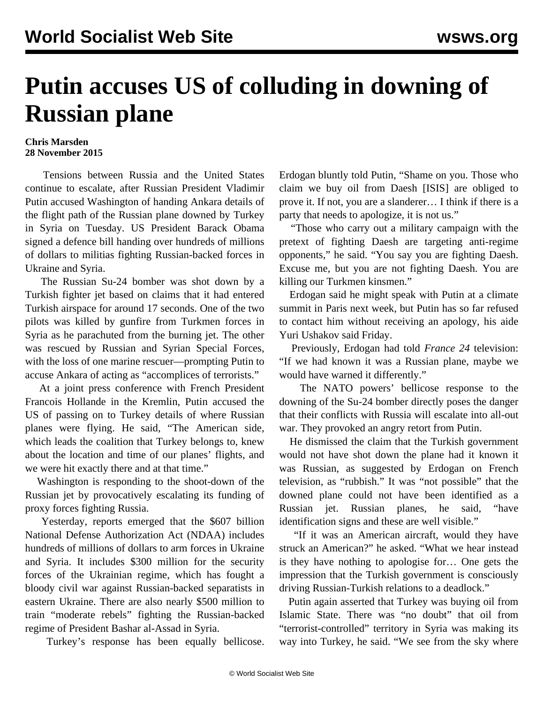## **Putin accuses US of colluding in downing of Russian plane**

## **Chris Marsden 28 November 2015**

 Tensions between Russia and the United States continue to escalate, after Russian President Vladimir Putin accused Washington of handing Ankara details of the flight path of the Russian plane downed by Turkey in Syria on Tuesday. US President Barack Obama signed a defence bill handing over hundreds of millions of dollars to militias fighting Russian-backed forces in Ukraine and Syria.

 The Russian Su-24 bomber was shot down by a Turkish fighter jet based on claims that it had entered Turkish airspace for around 17 seconds. One of the two pilots was killed by gunfire from Turkmen forces in Syria as he parachuted from the burning jet. The other was rescued by Russian and Syrian Special Forces, with the loss of one marine rescuer—prompting Putin to accuse Ankara of acting as "accomplices of terrorists."

 At a joint press conference with French President Francois Hollande in the Kremlin, Putin accused the US of passing on to Turkey details of where Russian planes were flying. He said, "The American side, which leads the coalition that Turkey belongs to, knew about the location and time of our planes' flights, and we were hit exactly there and at that time."

 Washington is responding to the shoot-down of the Russian jet by provocatively escalating its funding of proxy forces fighting Russia.

 Yesterday, reports emerged that the \$607 billion National Defense Authorization Act (NDAA) includes hundreds of millions of dollars to arm forces in Ukraine and Syria. It includes \$300 million for the security forces of the Ukrainian regime, which has fought a bloody civil war against Russian-backed separatists in eastern Ukraine. There are also nearly \$500 million to train "moderate rebels" fighting the Russian-backed regime of President Bashar al-Assad in Syria.

Turkey's response has been equally bellicose.

Erdogan bluntly told Putin, "Shame on you. Those who claim we buy oil from Daesh [ISIS] are obliged to prove it. If not, you are a slanderer… I think if there is a party that needs to apologize, it is not us."

 "Those who carry out a military campaign with the pretext of fighting Daesh are targeting anti-regime opponents," he said. "You say you are fighting Daesh. Excuse me, but you are not fighting Daesh. You are killing our Turkmen kinsmen."

 Erdogan said he might speak with Putin at a climate summit in Paris next week, but Putin has so far refused to contact him without receiving an apology, his aide Yuri Ushakov said Friday.

 Previously, Erdogan had told *France 24* television: "If we had known it was a Russian plane, maybe we would have warned it differently."

 The NATO powers' bellicose response to the downing of the Su-24 bomber directly poses the danger that their conflicts with Russia will escalate into all-out war. They provoked an angry retort from Putin.

 He dismissed the claim that the Turkish government would not have shot down the plane had it known it was Russian, as suggested by Erdogan on French television, as "rubbish." It was "not possible" that the downed plane could not have been identified as a Russian jet. Russian planes, he said, "have identification signs and these are well visible."

 "If it was an American aircraft, would they have struck an American?" he asked. "What we hear instead is they have nothing to apologise for… One gets the impression that the Turkish government is consciously driving Russian-Turkish relations to a deadlock."

 Putin again asserted that Turkey was buying oil from Islamic State. There was "no doubt" that oil from "terrorist-controlled" territory in Syria was making its way into Turkey, he said. "We see from the sky where